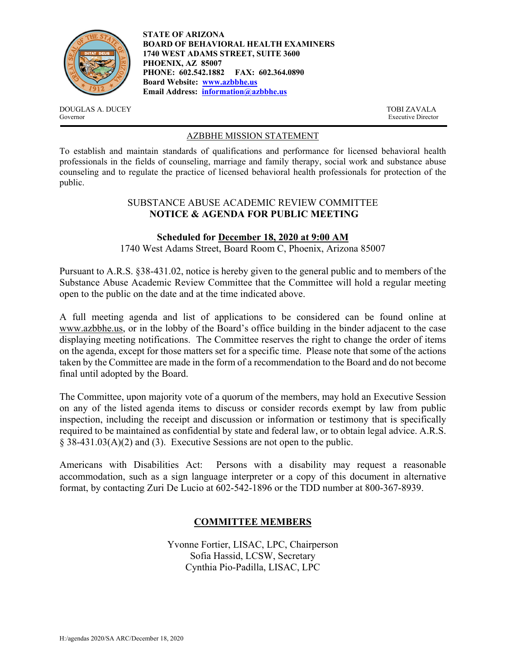

**STATE OF ARIZONA BOARD OF BEHAVIORAL HEALTH EXAMINERS 1740 WEST ADAMS STREET, SUITE 3600 PHOENIX, AZ 85007 PHONE: 602.542.1882 FAX: 602.364.0890 Board Website: www.azbbhe.us Email Address: information@azbbhe.us**

DOUGLAS A. DUCEY TOBI ZAVALA Governor Executive Director

## AZBBHE MISSION STATEMENT

To establish and maintain standards of qualifications and performance for licensed behavioral health professionals in the fields of counseling, marriage and family therapy, social work and substance abuse counseling and to regulate the practice of licensed behavioral health professionals for protection of the public.

### SUBSTANCE ABUSE ACADEMIC REVIEW COMMITTEE **NOTICE & AGENDA FOR PUBLIC MEETING**

## **Scheduled for December 18, 2020 at 9:00 AM**

1740 West Adams Street, Board Room C, Phoenix, Arizona 85007

Pursuant to A.R.S. §38-431.02, notice is hereby given to the general public and to members of the Substance Abuse Academic Review Committee that the Committee will hold a regular meeting open to the public on the date and at the time indicated above.

A full meeting agenda and list of applications to be considered can be found online at www.azbbhe.us, or in the lobby of the Board's office building in the binder adjacent to the case displaying meeting notifications. The Committee reserves the right to change the order of items on the agenda, except for those matters set for a specific time. Please note that some of the actions taken by the Committee are made in the form of a recommendation to the Board and do not become final until adopted by the Board.

The Committee, upon majority vote of a quorum of the members, may hold an Executive Session on any of the listed agenda items to discuss or consider records exempt by law from public inspection, including the receipt and discussion or information or testimony that is specifically required to be maintained as confidential by state and federal law, or to obtain legal advice. A.R.S. § 38-431.03(A)(2) and (3). Executive Sessions are not open to the public.

Americans with Disabilities Act: Persons with a disability may request a reasonable accommodation, such as a sign language interpreter or a copy of this document in alternative format, by contacting Zuri De Lucio at 602-542-1896 or the TDD number at 800-367-8939.

# **COMMITTEE MEMBERS**

Yvonne Fortier, LISAC, LPC, Chairperson Sofia Hassid, LCSW, Secretary Cynthia Pio-Padilla, LISAC, LPC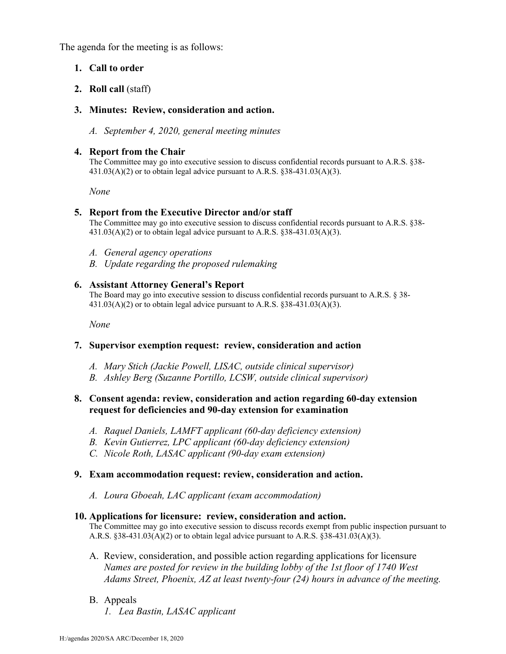The agenda for the meeting is as follows:

## **1. Call to order**

### **2. Roll call** (staff)

### **3. Minutes: Review, consideration and action.**

*A. September 4, 2020, general meeting minutes* 

### **4. Report from the Chair**

The Committee may go into executive session to discuss confidential records pursuant to A.R.S. §38-  $431.03(A)(2)$  or to obtain legal advice pursuant to A.R.S. §38-431.03(A)(3).

 *None* 

### **5. Report from the Executive Director and/or staff**

The Committee may go into executive session to discuss confidential records pursuant to A.R.S. §38-  $431.03(A)(2)$  or to obtain legal advice pursuant to A.R.S. §38-431.03(A)(3).

- *A. General agency operations*
- *B. Update regarding the proposed rulemaking*

### **6. Assistant Attorney General's Report**

The Board may go into executive session to discuss confidential records pursuant to A.R.S. § 38-  $431.03(A)(2)$  or to obtain legal advice pursuant to A.R.S. §38-431.03(A)(3).

 *None* 

## **7. Supervisor exemption request: review, consideration and action**

- *A. Mary Stich (Jackie Powell, LISAC, outside clinical supervisor)*
- *B. Ashley Berg (Suzanne Portillo, LCSW, outside clinical supervisor)*

## **8. Consent agenda: review, consideration and action regarding 60-day extension request for deficiencies and 90-day extension for examination**

- *A. Raquel Daniels, LAMFT applicant (60-day deficiency extension)*
- *B. Kevin Gutierrez, LPC applicant (60-day deficiency extension)*
- *C. Nicole Roth, LASAC applicant (90-day exam extension)*

## **9. Exam accommodation request: review, consideration and action.**

*A. Loura Gboeah, LAC applicant (exam accommodation)* 

#### **10. Applications for licensure: review, consideration and action.**

The Committee may go into executive session to discuss records exempt from public inspection pursuant to A.R.S. §38-431.03(A)(2) or to obtain legal advice pursuant to A.R.S. §38-431.03(A)(3).

- A. Review, consideration, and possible action regarding applications for licensure  *Names are posted for review in the building lobby of the 1st floor of 1740 West Adams Street, Phoenix, AZ at least twenty-four (24) hours in advance of the meeting.*
- B. Appeals *1. Lea Bastin, LASAC applicant*